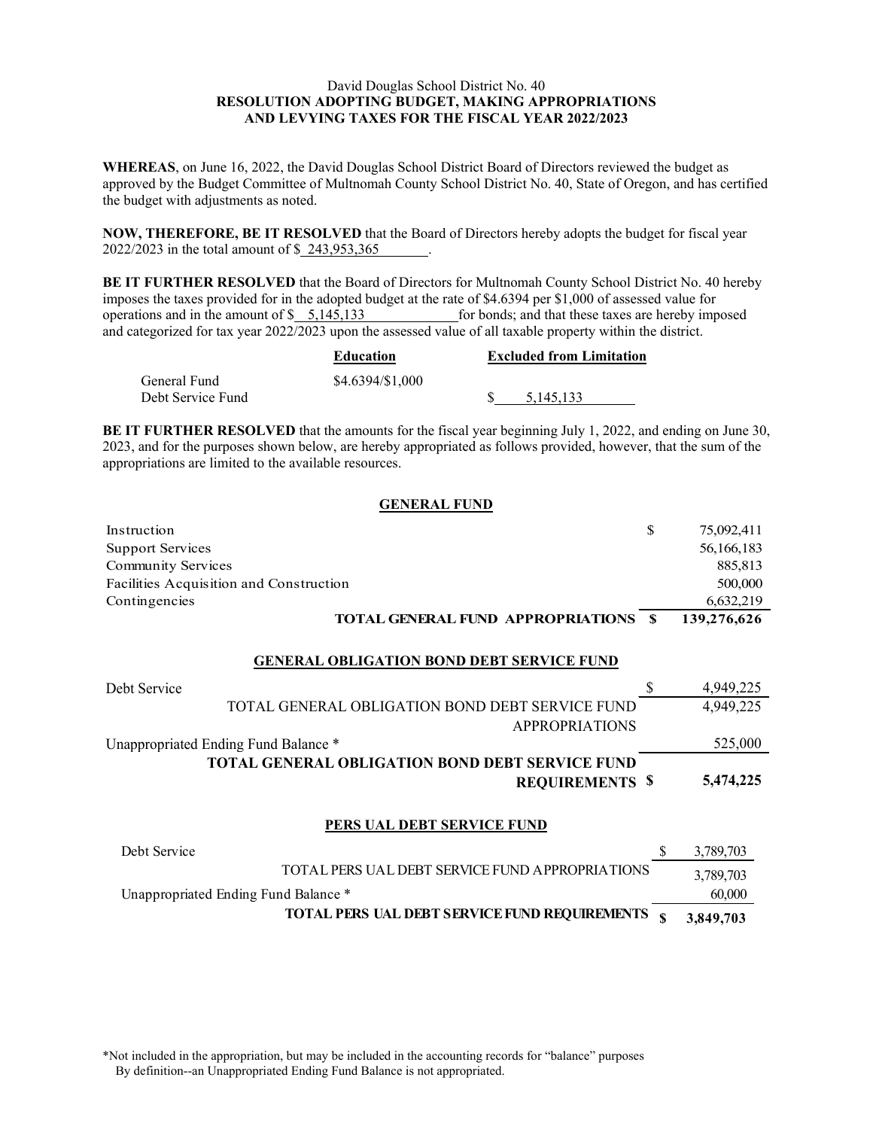# David Douglas School District No. 40 **RESOLUTION ADOPTING BUDGET, MAKING APPROPRIATIONS AND LEVYING TAXES FOR THE FISCAL YEAR 2022/2023**

**WHEREAS**, on June 16, 2022, the David Douglas School District Board of Directors reviewed the budget as approved by the Budget Committee of Multnomah County School District No. 40, State of Oregon, and has certified the budget with adjustments as noted.

**NOW, THEREFORE, BE IT RESOLVED** that the Board of Directors hereby adopts the budget for fiscal year 2022/2023 in the total amount of \$243,953,365

**BE IT FURTHER RESOLVED** that the Board of Directors for Multnomah County School District No. 40 hereby imposes the taxes provided for in the adopted budget at the rate of \$4.6394 per \$1,000 of assessed value for operations and in the amount of \$5,145,133 for bonds; and that these taxes are hereby imp for bonds; and that these taxes are hereby imposed and categorized for tax year 2022/2023 upon the assessed value of all taxable property within the district.

|                   | Education        | <b>Excluded from Limitation</b> |
|-------------------|------------------|---------------------------------|
| General Fund      | \$4.6394/\$1,000 |                                 |
| Debt Service Fund |                  | 5.145.133                       |

**BE IT FURTHER RESOLVED** that the amounts for the fiscal year beginning July 1, 2022, and ending on June 30, 2023, and for the purposes shown below, are hereby appropriated as follows provided, however, that the sum of the appropriations are limited to the available resources.

### **GENERAL FUND**

| Instruction                                 | 75,092,411  |
|---------------------------------------------|-------------|
| Support Services                            | 56,166,183  |
| Community Services                          | 885,813     |
| Facilities Acquisition and Construction     | 500,000     |
| Contingencies                               | 6,632,219   |
| <b>TOTAL GENERAL FUND APPROPRIATIONS \$</b> | 139,276,626 |

#### **GENERAL OBLIGATION BOND DEBT SERVICE FUND**

| Debt Service                                           | 4,949,225 |
|--------------------------------------------------------|-----------|
| TOTAL GENERAL OBLIGATION BOND DEBT SERVICE FUND        | 4,949,225 |
| <b>APPROPRIATIONS</b>                                  |           |
| Unappropriated Ending Fund Balance *                   | 525,000   |
| <b>TOTAL GENERAL OBLIGATION BOND DEBT SERVICE FUND</b> |           |
| <b>REQUIREMENTS \$</b>                                 | 5,474,225 |
|                                                        |           |

#### **PERS UAL DEBT SERVICE FUND**

| Debt Service                                    | 3,789,703 |
|-------------------------------------------------|-----------|
| TOTAL PERS UAL DEBT SERVICE FUND APPROPRIATIONS | 3,789,703 |
| Unappropriated Ending Fund Balance *            | 60,000    |
| TOTAL PERS UAL DEBT SERVICE FUND REQUIREMENTS   | 3,849,703 |

\*Not included in the appropriation, but may be included in the accounting records for "balance" purposes By definition--an Unappropriated Ending Fund Balance is not appropriated.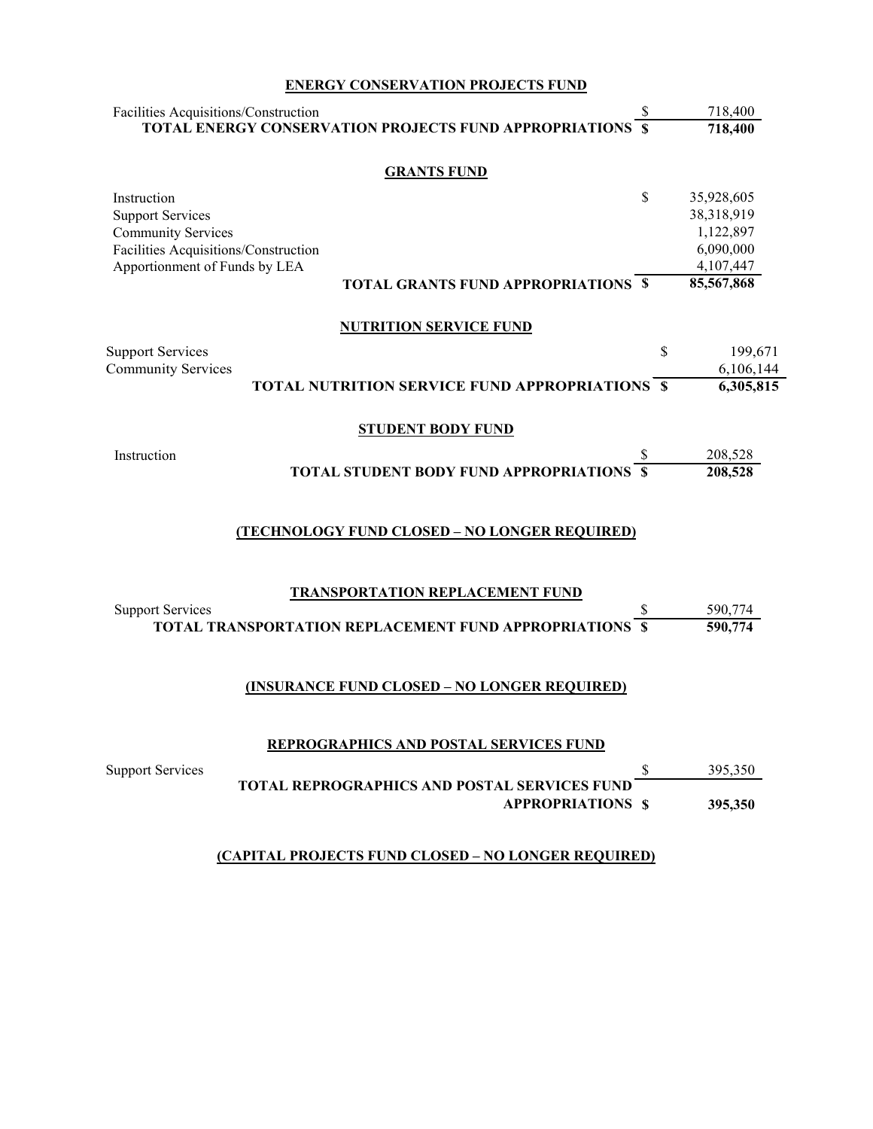# **ENERGY CONSERVATION PROJECTS FUND**

| Facilities Acquisitions/Construction                                  |                                                               | 718,400          |
|-----------------------------------------------------------------------|---------------------------------------------------------------|------------------|
|                                                                       | <b>TOTAL ENERGY CONSERVATION PROJECTS FUND APPROPRIATIONS</b> | 718,400          |
|                                                                       | <b>GRANTS FUND</b>                                            |                  |
| Instruction                                                           |                                                               | \$<br>35,928,605 |
| <b>Support Services</b>                                               |                                                               | 38,318,919       |
| <b>Community Services</b>                                             |                                                               | 1,122,897        |
| Facilities Acquisitions/Construction<br>Apportionment of Funds by LEA |                                                               | 6,090,000        |
|                                                                       |                                                               | 4,107,447        |
|                                                                       | <b>TOTAL GRANTS FUND APPROPRIATIONS \$</b>                    | 85,567,868       |
|                                                                       | <b>NUTRITION SERVICE FUND</b>                                 |                  |
| <b>Support Services</b>                                               |                                                               | \$<br>199,671    |
| <b>Community Services</b>                                             |                                                               | 6,106,144        |
|                                                                       | <b>TOTAL NUTRITION SERVICE FUND APPROPRIATIONS \$</b>         | 6,305,815        |
|                                                                       |                                                               |                  |
|                                                                       | <b>STUDENT BODY FUND</b>                                      |                  |
| Instruction                                                           |                                                               | 208,528          |
|                                                                       | TOTAL STUDENT BODY FUND APPROPRIATIONS                        | 208,528          |
|                                                                       | (TECHNOLOGY FUND CLOSED - NO LONGER REQUIRED)                 |                  |
|                                                                       |                                                               |                  |
| <b>Support Services</b>                                               | <b>TRANSPORTATION REPLACEMENT FUND</b>                        | 590,774          |
|                                                                       | TOTAL TRANSPORTATION REPLACEMENT FUND APPROPRIATIONS          | 590,774          |
|                                                                       |                                                               |                  |
|                                                                       | (INSURANCE FUND CLOSED - NO LONGER REQUIRED)                  |                  |
|                                                                       | REPROGRAPHICS AND POSTAL SERVICES FUND                        |                  |
|                                                                       |                                                               |                  |
| <b>Support Services</b>                                               | <b>TOTAL REPROGRAPHICS AND POSTAL SERVICES FUND</b>           | \$<br>395,350    |
|                                                                       | <b>APPROPRIATIONS \$</b>                                      | 395,350          |
|                                                                       |                                                               |                  |

# **(CAPITAL PROJECTS FUND CLOSED – NO LONGER REQUIRED)**